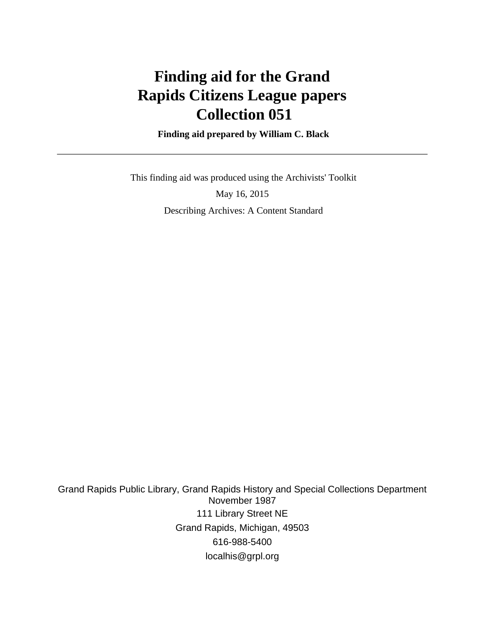# **Finding aid for the Grand Rapids Citizens League papers Collection 051**

 **Finding aid prepared by William C. Black**

 This finding aid was produced using the Archivists' Toolkit May 16, 2015 Describing Archives: A Content Standard

Grand Rapids Public Library, Grand Rapids History and Special Collections Department November 1987 111 Library Street NE Grand Rapids, Michigan, 49503 616-988-5400 localhis@grpl.org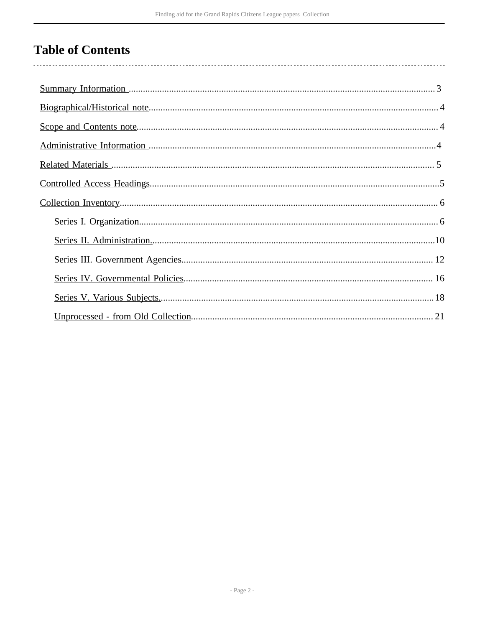# **Table of Contents**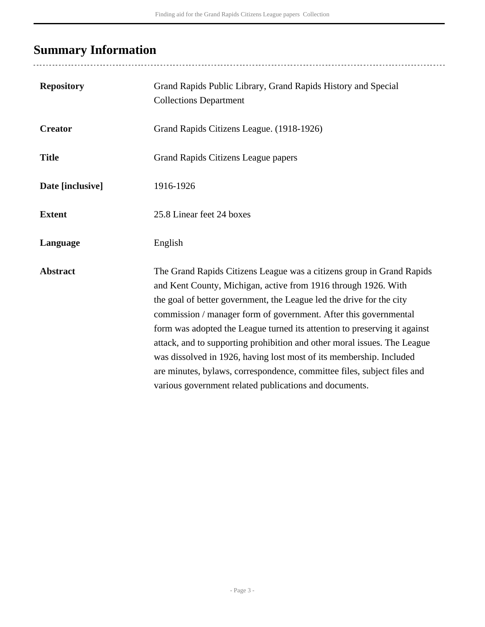# <span id="page-2-0"></span>**Summary Information**

| <b>Repository</b> | Grand Rapids Public Library, Grand Rapids History and Special<br><b>Collections Department</b>                                                                                                                                                                                                                                                                                                                                                                                                                                                                                                                                                           |
|-------------------|----------------------------------------------------------------------------------------------------------------------------------------------------------------------------------------------------------------------------------------------------------------------------------------------------------------------------------------------------------------------------------------------------------------------------------------------------------------------------------------------------------------------------------------------------------------------------------------------------------------------------------------------------------|
| <b>Creator</b>    | Grand Rapids Citizens League. (1918-1926)                                                                                                                                                                                                                                                                                                                                                                                                                                                                                                                                                                                                                |
| <b>Title</b>      | Grand Rapids Citizens League papers                                                                                                                                                                                                                                                                                                                                                                                                                                                                                                                                                                                                                      |
| Date [inclusive]  | 1916-1926                                                                                                                                                                                                                                                                                                                                                                                                                                                                                                                                                                                                                                                |
| <b>Extent</b>     | 25.8 Linear feet 24 boxes                                                                                                                                                                                                                                                                                                                                                                                                                                                                                                                                                                                                                                |
| Language          | English                                                                                                                                                                                                                                                                                                                                                                                                                                                                                                                                                                                                                                                  |
| <b>Abstract</b>   | The Grand Rapids Citizens League was a citizens group in Grand Rapids<br>and Kent County, Michigan, active from 1916 through 1926. With<br>the goal of better government, the League led the drive for the city<br>commission / manager form of government. After this governmental<br>form was adopted the League turned its attention to preserving it against<br>attack, and to supporting prohibition and other moral issues. The League<br>was dissolved in 1926, having lost most of its membership. Included<br>are minutes, bylaws, correspondence, committee files, subject files and<br>various government related publications and documents. |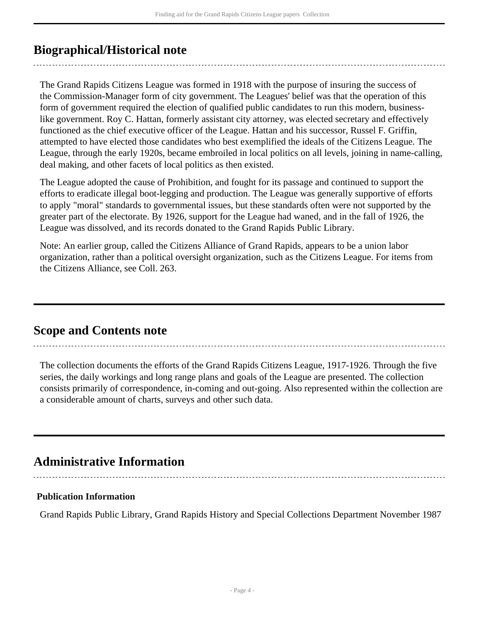# <span id="page-3-0"></span>**Biographical/Historical note**

The Grand Rapids Citizens League was formed in 1918 with the purpose of insuring the success of the Commission-Manager form of city government. The Leagues' belief was that the operation of this form of government required the election of qualified public candidates to run this modern, businesslike government. Roy C. Hattan, formerly assistant city attorney, was elected secretary and effectively functioned as the chief executive officer of the League. Hattan and his successor, Russel F. Griffin, attempted to have elected those candidates who best exemplified the ideals of the Citizens League. The League, through the early 1920s, became embroiled in local politics on all levels, joining in name-calling, deal making, and other facets of local politics as then existed.

The League adopted the cause of Prohibition, and fought for its passage and continued to support the efforts to eradicate illegal boot-legging and production. The League was generally supportive of efforts to apply "moral" standards to governmental issues, but these standards often were not supported by the greater part of the electorate. By 1926, support for the League had waned, and in the fall of 1926, the League was dissolved, and its records donated to the Grand Rapids Public Library.

Note: An earlier group, called the Citizens Alliance of Grand Rapids, appears to be a union labor organization, rather than a political oversight organization, such as the Citizens League. For items from the Citizens Alliance, see Coll. 263.

## <span id="page-3-1"></span>**Scope and Contents note**

The collection documents the efforts of the Grand Rapids Citizens League, 1917-1926. Through the five series, the daily workings and long range plans and goals of the League are presented. The collection consists primarily of correspondence, in-coming and out-going. Also represented within the collection are a considerable amount of charts, surveys and other such data.

# <span id="page-3-2"></span>**Administrative Information**

### **Publication Information**

Grand Rapids Public Library, Grand Rapids History and Special Collections Department November 1987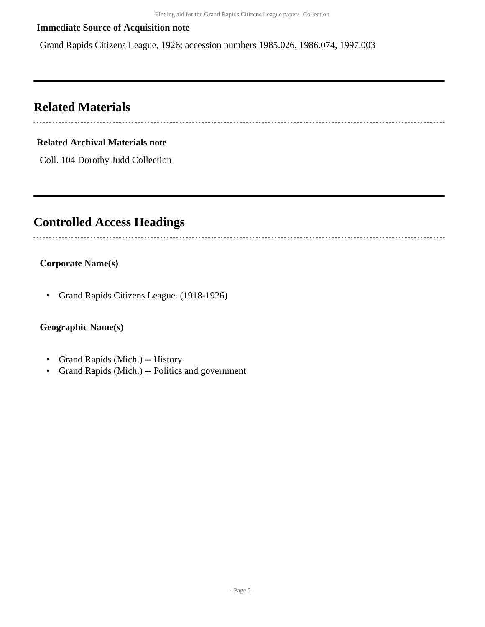### **Immediate Source of Acquisition note**

Grand Rapids Citizens League, 1926; accession numbers 1985.026, 1986.074, 1997.003

## <span id="page-4-0"></span>**Related Materials**

#### **Related Archival Materials note**

Coll. 104 Dorothy Judd Collection

## <span id="page-4-1"></span>**Controlled Access Headings**

#### **Corporate Name(s)**

• Grand Rapids Citizens League. (1918-1926)

### **Geographic Name(s)**

- Grand Rapids (Mich.) -- History
- Grand Rapids (Mich.) -- Politics and government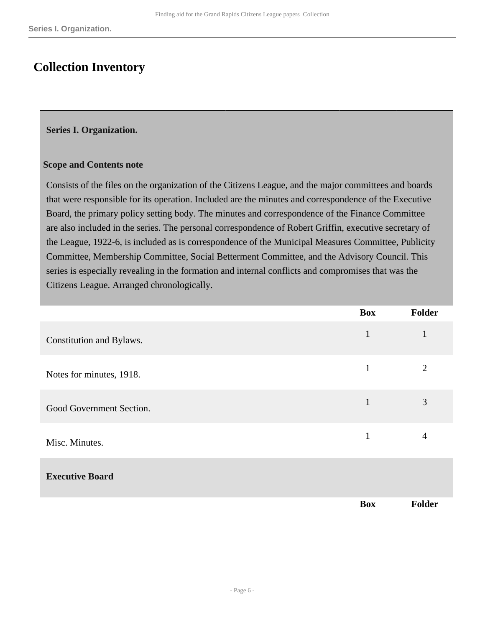# <span id="page-5-0"></span>**Collection Inventory**

#### <span id="page-5-1"></span>**Series I. Organization.**

#### **Scope and Contents note**

Consists of the files on the organization of the Citizens League, and the major committees and boards that were responsible for its operation. Included are the minutes and correspondence of the Executive Board, the primary policy setting body. The minutes and correspondence of the Finance Committee are also included in the series. The personal correspondence of Robert Griffin, executive secretary of the League, 1922-6, is included as is correspondence of the Municipal Measures Committee, Publicity Committee, Membership Committee, Social Betterment Committee, and the Advisory Council. This series is especially revealing in the formation and internal conflicts and compromises that was the Citizens League. Arranged chronologically.

|                          | <b>Box</b>   | Folder         |
|--------------------------|--------------|----------------|
| Constitution and Bylaws. | $\mathbf{1}$ | $\mathbf{1}$   |
| Notes for minutes, 1918. | $\mathbf{1}$ | $\overline{2}$ |
| Good Government Section. | $\mathbf{1}$ | 3              |
| Misc. Minutes.           | $\mathbf{1}$ | $\overline{4}$ |
| <b>Executive Board</b>   |              |                |
|                          | <b>Box</b>   | Folder         |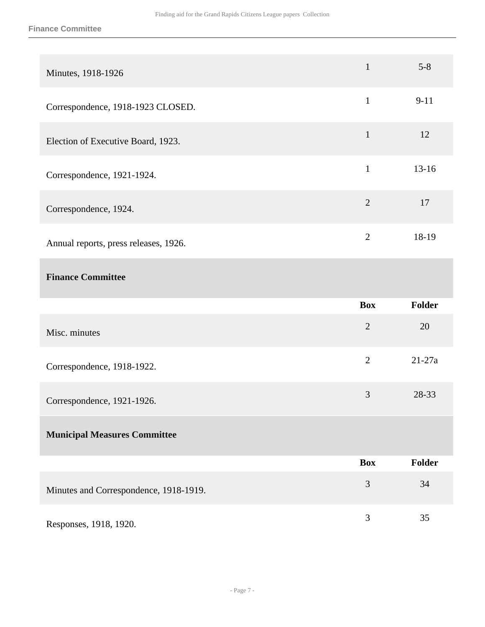#### **Finance Committee**

| Minutes, 1918-1926                     | $\mathbf{1}$   | $5 - 8$       |
|----------------------------------------|----------------|---------------|
| Correspondence, 1918-1923 CLOSED.      | $\mathbf{1}$   | $9 - 11$      |
| Election of Executive Board, 1923.     | $\mathbf{1}$   | 12            |
| Correspondence, 1921-1924.             | $\mathbf{1}$   | $13 - 16$     |
| Correspondence, 1924.                  | $\overline{2}$ | 17            |
| Annual reports, press releases, 1926.  | $\overline{2}$ | 18-19         |
| <b>Finance Committee</b>               |                |               |
|                                        |                |               |
|                                        | <b>Box</b>     | Folder        |
| Misc. minutes                          | $\overline{2}$ | 20            |
| Correspondence, 1918-1922.             | $\overline{2}$ | $21 - 27a$    |
| Correspondence, 1921-1926.             | 3              | 28-33         |
| <b>Municipal Measures Committee</b>    |                |               |
|                                        | <b>Box</b>     | <b>Folder</b> |
| Minutes and Correspondence, 1918-1919. | 3              | 34            |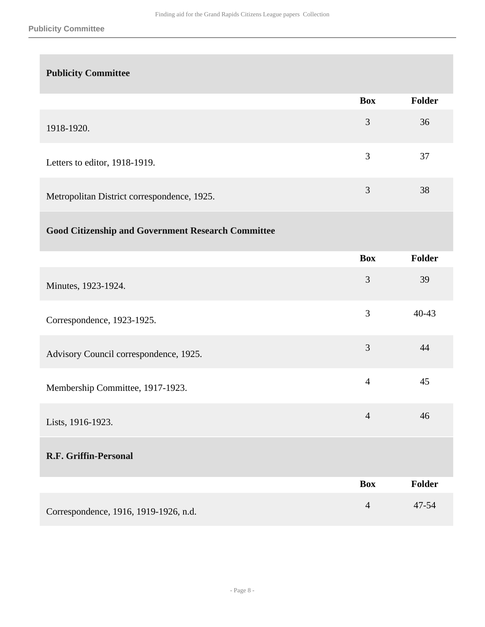## **Publicity Committee**

|                                             | <b>Box</b> | <b>Folder</b> |
|---------------------------------------------|------------|---------------|
| 1918-1920.                                  | 3          | 36            |
| Letters to editor, 1918-1919.               | 3          | 37            |
| Metropolitan District correspondence, 1925. | 3          | 38            |

## **Good Citizenship and Government Research Committee**

|                                        | <b>Box</b>     | Folder        |
|----------------------------------------|----------------|---------------|
| Minutes, 1923-1924.                    | 3              | 39            |
| Correspondence, 1923-1925.             | 3              | $40 - 43$     |
| Advisory Council correspondence, 1925. | 3              | 44            |
| Membership Committee, 1917-1923.       | $\overline{4}$ | 45            |
| Lists, 1916-1923.                      | $\overline{4}$ | 46            |
| R.F. Griffin-Personal                  |                |               |
|                                        | <b>Box</b>     | <b>Folder</b> |
| Correspondence, 1916, 1919-1926, n.d.  | $\overline{4}$ | 47-54         |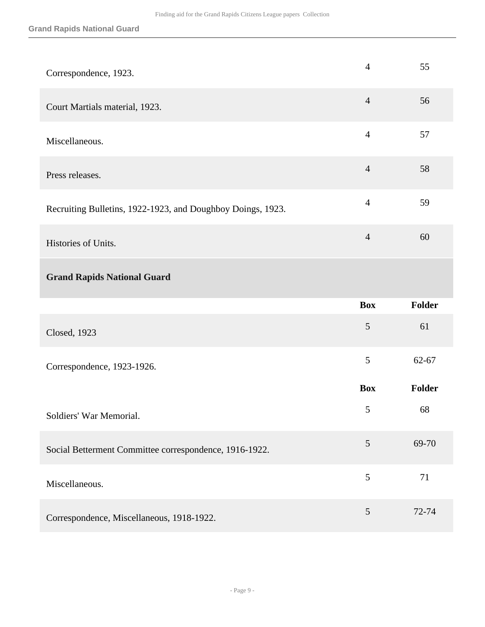| Correspondence, 1923.                                       | $\overline{4}$ | 55            |
|-------------------------------------------------------------|----------------|---------------|
| Court Martials material, 1923.                              | $\overline{4}$ | 56            |
| Miscellaneous.                                              | $\overline{4}$ | 57            |
| Press releases.                                             | $\overline{4}$ | 58            |
| Recruiting Bulletins, 1922-1923, and Doughboy Doings, 1923. | $\overline{4}$ | 59            |
| Histories of Units.                                         | $\overline{4}$ | 60            |
| <b>Grand Rapids National Guard</b>                          |                |               |
|                                                             |                |               |
|                                                             | <b>Box</b>     | <b>Folder</b> |
| Closed, 1923                                                | 5              | 61            |
| Correspondence, 1923-1926.                                  | 5              | 62-67         |
|                                                             | <b>Box</b>     | Folder        |
| Soldiers' War Memorial.                                     | 5              | 68            |
| Social Betterment Committee correspondence, 1916-1922.      | $\mathfrak{S}$ | 69-70         |
| Miscellaneous.                                              | 5              | 71            |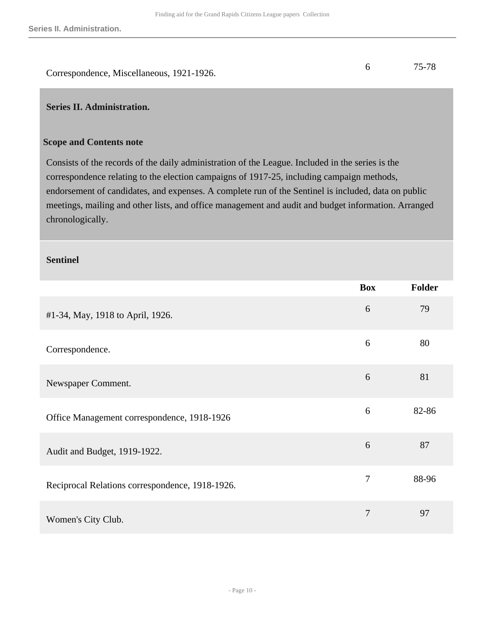|                                           | 75-78 |
|-------------------------------------------|-------|
| Correspondence, Miscellaneous, 1921-1926. |       |

#### <span id="page-9-0"></span>**Series II. Administration.**

#### **Scope and Contents note**

Consists of the records of the daily administration of the League. Included in the series is the correspondence relating to the election campaigns of 1917-25, including campaign methods, endorsement of candidates, and expenses. A complete run of the Sentinel is included, data on public meetings, mailing and other lists, and office management and audit and budget information. Arranged chronologically.

#### **Sentinel**

|                                                 | <b>Box</b>     | <b>Folder</b> |
|-------------------------------------------------|----------------|---------------|
| #1-34, May, 1918 to April, 1926.                | 6              | 79            |
| Correspondence.                                 | 6              | 80            |
| Newspaper Comment.                              | 6              | 81            |
| Office Management correspondence, 1918-1926     | 6              | 82-86         |
| Audit and Budget, 1919-1922.                    | 6              | 87            |
| Reciprocal Relations correspondence, 1918-1926. | $\overline{7}$ | 88-96         |
| Women's City Club.                              | 7              | 97            |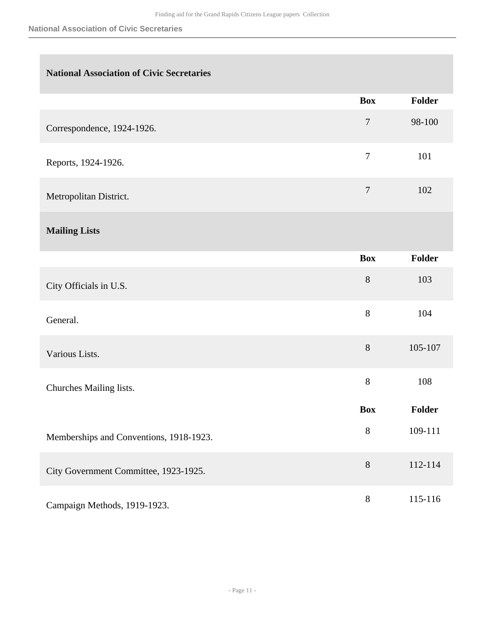## **National Association of Civic Secretaries**

|                            | <b>Box</b>     | <b>Folder</b> |
|----------------------------|----------------|---------------|
| Correspondence, 1924-1926. | $\overline{7}$ | 98-100        |
| Reports, 1924-1926.        | $\overline{7}$ | 101           |
| Metropolitan District.     | $\overline{7}$ | 102           |
| <b>Mailing Lists</b>       |                |               |
|                            | <b>Box</b>     | <b>Folder</b> |
| City Officials in U.S.     | 8              | 103           |
|                            |                |               |

| General.                                | 8          | 104           |
|-----------------------------------------|------------|---------------|
| Various Lists.                          | 8          | 105-107       |
| Churches Mailing lists.                 | 8          | 108           |
|                                         | <b>Box</b> | <b>Folder</b> |
| Memberships and Conventions, 1918-1923. | 8          | 109-111       |
| City Government Committee, 1923-1925.   | 8          | 112-114       |
|                                         |            |               |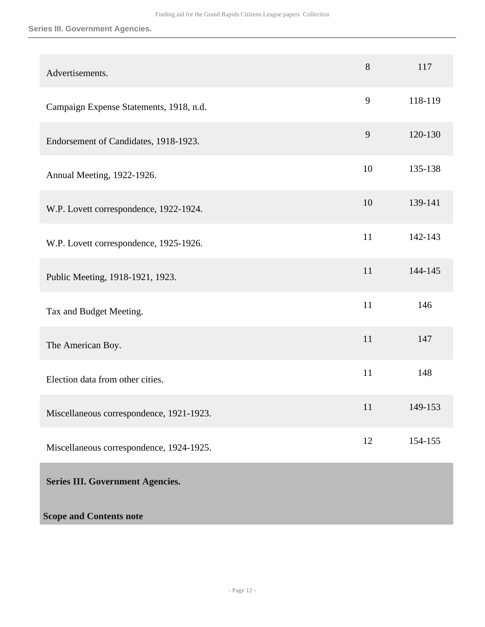#### **Series III. Government Agencies.**

<span id="page-11-0"></span>

| Advertisements.                          | 8  | 117     |
|------------------------------------------|----|---------|
| Campaign Expense Statements, 1918, n.d.  | 9  | 118-119 |
| Endorsement of Candidates, 1918-1923.    | 9  | 120-130 |
| Annual Meeting, 1922-1926.               | 10 | 135-138 |
| W.P. Lovett correspondence, 1922-1924.   | 10 | 139-141 |
| W.P. Lovett correspondence, 1925-1926.   | 11 | 142-143 |
| Public Meeting, 1918-1921, 1923.         | 11 | 144-145 |
| Tax and Budget Meeting.                  | 11 | 146     |
| The American Boy.                        | 11 | 147     |
| Election data from other cities.         | 11 | 148     |
| Miscellaneous correspondence, 1921-1923. | 11 | 149-153 |
| Miscellaneous correspondence, 1924-1925. | 12 | 154-155 |
| <b>Series III. Government Agencies.</b>  |    |         |
| <b>Scope and Contents note</b>           |    |         |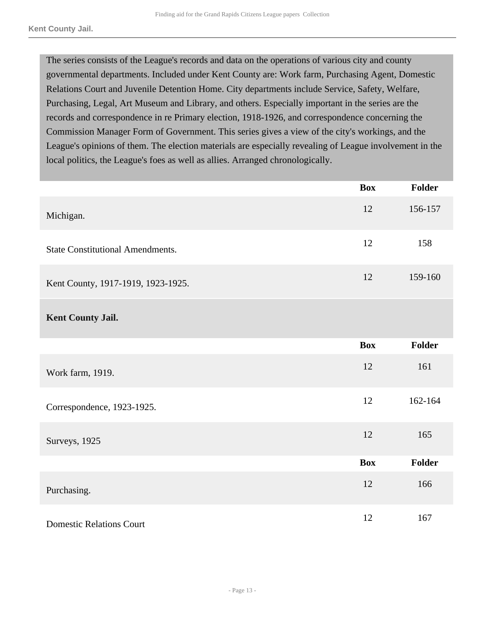The series consists of the League's records and data on the operations of various city and county governmental departments. Included under Kent County are: Work farm, Purchasing Agent, Domestic Relations Court and Juvenile Detention Home. City departments include Service, Safety, Welfare, Purchasing, Legal, Art Museum and Library, and others. Especially important in the series are the records and correspondence in re Primary election, 1918-1926, and correspondence concerning the Commission Manager Form of Government. This series gives a view of the city's workings, and the League's opinions of them. The election materials are especially revealing of League involvement in the local politics, the League's foes as well as allies. Arranged chronologically.

|                                         | <b>Box</b> | Folder        |
|-----------------------------------------|------------|---------------|
| Michigan.                               | 12         | 156-157       |
| <b>State Constitutional Amendments.</b> | 12         | 158           |
| Kent County, 1917-1919, 1923-1925.      | 12         | 159-160       |
| Kent County Jail.                       |            |               |
|                                         | <b>Box</b> | <b>Folder</b> |
| Work farm, 1919.                        | 12         | 161           |
| Correspondence, 1923-1925.              | 12         | 162-164       |
| Surveys, 1925                           | 12         | 165           |
|                                         | <b>Box</b> | Folder        |
| Purchasing.                             | 12         | 166           |
| <b>Domestic Relations Court</b>         | 12         | 167           |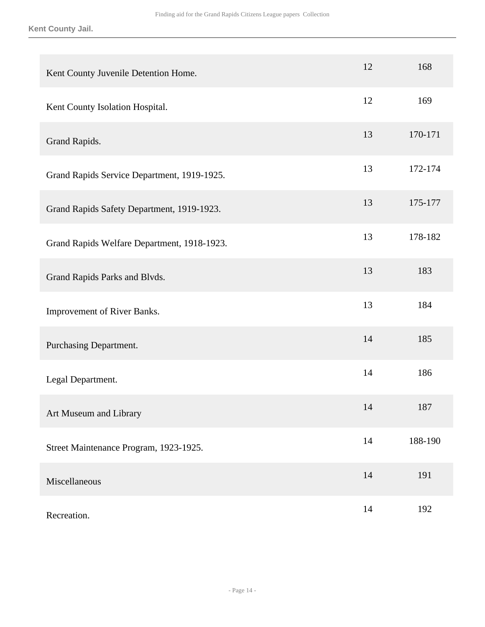**Kent County Jail.**

| Kent County Juvenile Detention Home.        | 12 | 168     |
|---------------------------------------------|----|---------|
| Kent County Isolation Hospital.             | 12 | 169     |
| Grand Rapids.                               | 13 | 170-171 |
| Grand Rapids Service Department, 1919-1925. | 13 | 172-174 |
| Grand Rapids Safety Department, 1919-1923.  | 13 | 175-177 |
| Grand Rapids Welfare Department, 1918-1923. | 13 | 178-182 |
| Grand Rapids Parks and Blvds.               | 13 | 183     |
| Improvement of River Banks.                 | 13 | 184     |
| Purchasing Department.                      | 14 | 185     |
| Legal Department.                           | 14 | 186     |
| Art Museum and Library                      | 14 | 187     |
| Street Maintenance Program, 1923-1925.      | 14 | 188-190 |
| Miscellaneous                               | 14 | 191     |
| Recreation.                                 | 14 | 192     |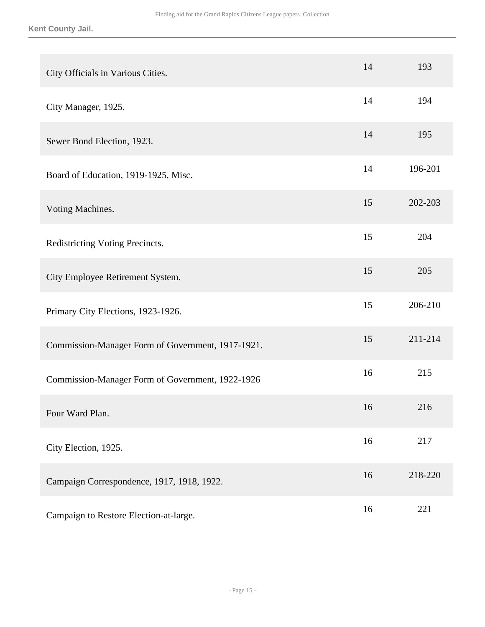**Kent County Jail.**

| City Officials in Various Cities.                 | 14 | 193     |
|---------------------------------------------------|----|---------|
| City Manager, 1925.                               | 14 | 194     |
| Sewer Bond Election, 1923.                        | 14 | 195     |
| Board of Education, 1919-1925, Misc.              | 14 | 196-201 |
| Voting Machines.                                  | 15 | 202-203 |
| Redistricting Voting Precincts.                   | 15 | 204     |
| City Employee Retirement System.                  | 15 | 205     |
| Primary City Elections, 1923-1926.                | 15 | 206-210 |
| Commission-Manager Form of Government, 1917-1921. | 15 | 211-214 |
| Commission-Manager Form of Government, 1922-1926  | 16 | 215     |
| Four Ward Plan.                                   | 16 | 216     |
| City Election, 1925.                              | 16 | 217     |
| Campaign Correspondence, 1917, 1918, 1922.        | 16 | 218-220 |
| Campaign to Restore Election-at-large.            | 16 | 221     |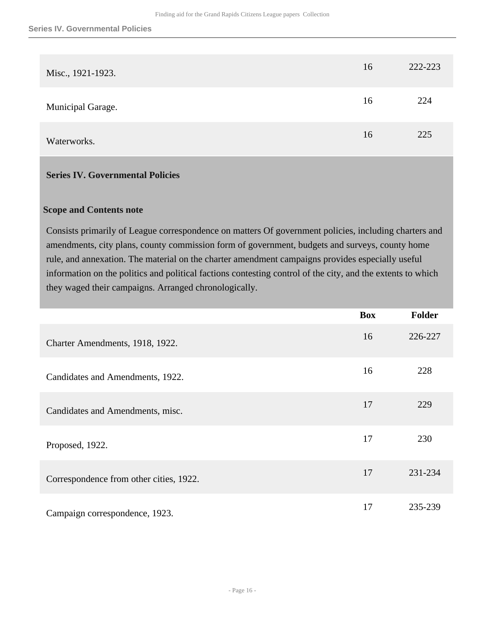| Misc., 1921-1923. | 16 | 222-223 |
|-------------------|----|---------|
| Municipal Garage. | 16 | 224     |
| Waterworks.       | 16 | 225     |

#### <span id="page-15-0"></span>**Series IV. Governmental Policies**

#### **Scope and Contents note**

Consists primarily of League correspondence on matters Of government policies, including charters and amendments, city plans, county commission form of government, budgets and surveys, county home rule, and annexation. The material on the charter amendment campaigns provides especially useful information on the politics and political factions contesting control of the city, and the extents to which they waged their campaigns. Arranged chronologically.

|                                         | <b>Box</b> | Folder  |
|-----------------------------------------|------------|---------|
| Charter Amendments, 1918, 1922.         | 16         | 226-227 |
| Candidates and Amendments, 1922.        | 16         | 228     |
| Candidates and Amendments, misc.        | 17         | 229     |
| Proposed, 1922.                         | 17         | 230     |
| Correspondence from other cities, 1922. | 17         | 231-234 |
| Campaign correspondence, 1923.          | 17         | 235-239 |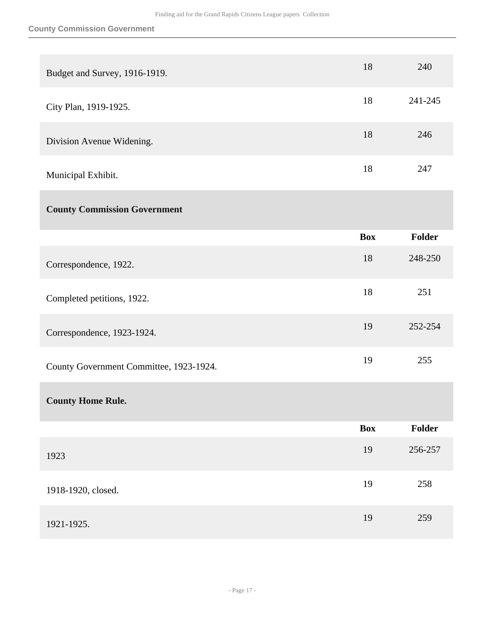| Budget and Survey, 1916-1919.           | 18         | 240           |
|-----------------------------------------|------------|---------------|
| City Plan, 1919-1925.                   | 18         | 241-245       |
| Division Avenue Widening.               | 18         | 246           |
| Municipal Exhibit.                      | 18         | 247           |
| <b>County Commission Government</b>     |            |               |
|                                         | <b>Box</b> | <b>Folder</b> |
| Correspondence, 1922.                   | 18         | 248-250       |
| Completed petitions, 1922.              | 18         | 251           |
| Correspondence, 1923-1924.              | 19         | 252-254       |
| County Government Committee, 1923-1924. | 19         | 255           |
| <b>County Home Rule.</b>                |            |               |
|                                         | <b>Box</b> | Folder        |
| 1923                                    | 19         | 256-257       |
| 1918-1920, closed.                      | 19         | 258           |
| 1921-1925.                              | 19         | 259           |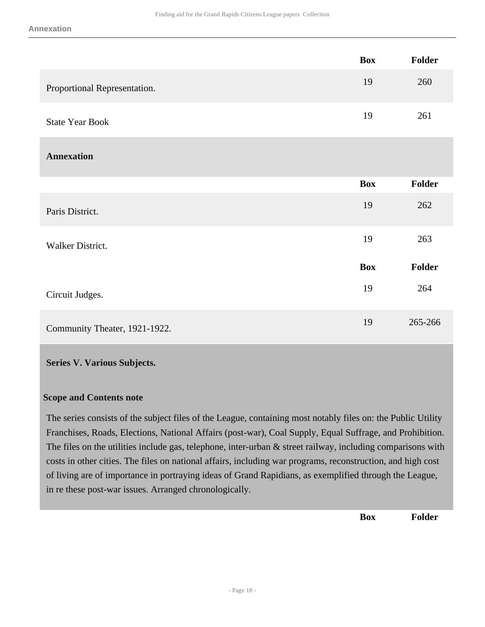|                               | <b>Box</b> | Folder  |
|-------------------------------|------------|---------|
| Proportional Representation.  | 19         | 260     |
| <b>State Year Book</b>        | 19         | 261     |
| <b>Annexation</b>             |            |         |
|                               | <b>Box</b> | Folder  |
| Paris District.               | 19         | 262     |
| Walker District.              | 19         | 263     |
|                               | <b>Box</b> | Folder  |
| Circuit Judges.               | 19         | 264     |
| Community Theater, 1921-1922. | 19         | 265-266 |

#### <span id="page-17-0"></span>**Series V. Various Subjects.**

#### **Scope and Contents note**

The series consists of the subject files of the League, containing most notably files on: the Public Utility Franchises, Roads, Elections, National Affairs (post-war), Coal Supply, Equal Suffrage, and Prohibition. The files on the utilities include gas, telephone, inter-urban & street railway, including comparisons with costs in other cities. The files on national affairs, including war programs, reconstruction, and high cost of living are of importance in portraying ideas of Grand Rapidians, as exemplified through the League, in re these post-war issues. Arranged chronologically.

**Box Folder**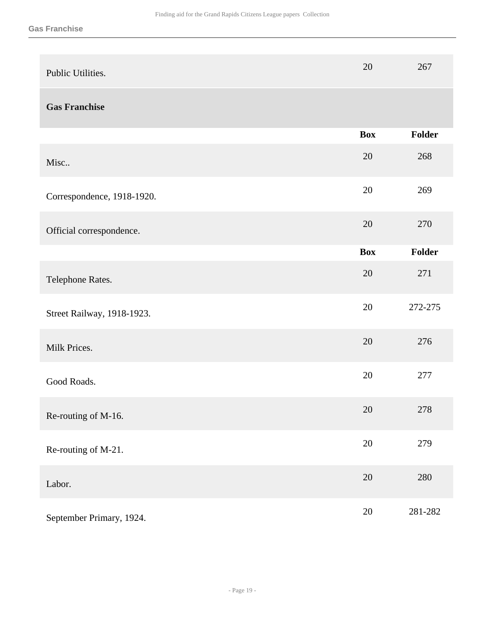| Public Utilities.          | 20         | 267           |
|----------------------------|------------|---------------|
| <b>Gas Franchise</b>       |            |               |
|                            | <b>Box</b> | Folder        |
| Misc                       | 20         | 268           |
| Correspondence, 1918-1920. | 20         | 269           |
| Official correspondence.   | 20         | 270           |
|                            | <b>Box</b> | <b>Folder</b> |
| Telephone Rates.           | 20         | 271           |
| Street Railway, 1918-1923. | 20         | 272-275       |
| Milk Prices.               | 20         | 276           |
| Good Roads.                | 20         | 277           |
| Re-routing of M-16.        | 20         | 278           |
| Re-routing of M-21.        | $20\,$     | 279           |
| Labor.                     | $20\,$     | 280           |
| September Primary, 1924.   | 20         | 281-282       |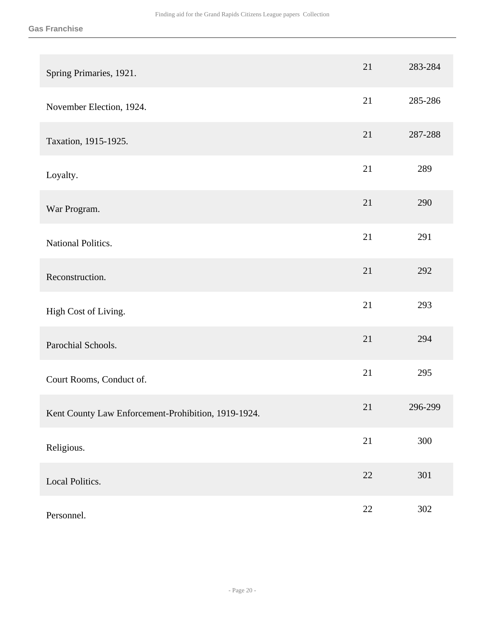| Spring Primaries, 1921.                             | 21     | 283-284 |
|-----------------------------------------------------|--------|---------|
| November Election, 1924.                            | 21     | 285-286 |
| Taxation, 1915-1925.                                | 21     | 287-288 |
| Loyalty.                                            | 21     | 289     |
| War Program.                                        | 21     | 290     |
| National Politics.                                  | 21     | 291     |
| Reconstruction.                                     | 21     | 292     |
| High Cost of Living.                                | 21     | 293     |
| Parochial Schools.                                  | 21     | 294     |
| Court Rooms, Conduct of.                            | 21     | 295     |
| Kent County Law Enforcement-Prohibition, 1919-1924. | 21     | 296-299 |
| Religious.                                          | 21     | 300     |
| Local Politics.                                     | $22\,$ | 301     |
| Personnel.                                          | $22\,$ | 302     |